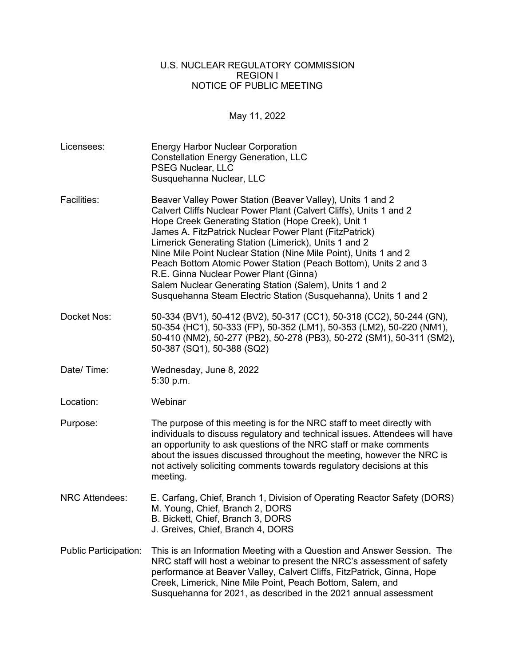## U.S. NUCLEAR REGULATORY COMMISSION REGION I NOTICE OF PUBLIC MEETING

May 11, 2022

Licensees: Energy Harbor Nuclear Corporation Constellation Energy Generation, LLC PSEG Nuclear, LLC Susquehanna Nuclear, LLC Facilities: Beaver Valley Power Station (Beaver Valley), Units 1 and 2 Calvert Cliffs Nuclear Power Plant (Calvert Cliffs), Units 1 and 2 Hope Creek Generating Station (Hope Creek), Unit 1 James A. FitzPatrick Nuclear Power Plant (FitzPatrick) Limerick Generating Station (Limerick), Units 1 and 2 Nine Mile Point Nuclear Station (Nine Mile Point), Units 1 and 2 Peach Bottom Atomic Power Station (Peach Bottom), Units 2 and 3 R.E. Ginna Nuclear Power Plant (Ginna) Salem Nuclear Generating Station (Salem), Units 1 and 2 Susquehanna Steam Electric Station (Susquehanna), Units 1 and 2 Docket Nos: 50-334 (BV1), 50-412 (BV2), 50-317 (CC1), 50-318 (CC2), 50-244 (GN), 50-354 (HC1), 50-333 (FP), 50-352 (LM1), 50-353 (LM2), 50-220 (NM1), 50-410 (NM2), 50-277 (PB2), 50-278 (PB3), 50-272 (SM1), 50-311 (SM2), 50-387 (SQ1), 50-388 (SQ2) Date/ Time: Wednesday, June 8, 2022 5:30 p.m. Location: Webinar Purpose: The purpose of this meeting is for the NRC staff to meet directly with individuals to discuss regulatory and technical issues. Attendees will have an opportunity to ask questions of the NRC staff or make comments about the issues discussed throughout the meeting, however the NRC is not actively soliciting comments towards regulatory decisions at this meeting. NRC Attendees: E. Carfang, Chief, Branch 1, Division of Operating Reactor Safety (DORS) M. Young, Chief, Branch 2, DORS B. Bickett, Chief, Branch 3, DORS J. Greives, Chief, Branch 4, DORS Public Participation: This is an Information Meeting with a Question and Answer Session. The NRC staff will host a webinar to present the NRC's assessment of safety performance at Beaver Valley, Calvert Cliffs, FitzPatrick, Ginna, Hope Creek, Limerick, Nine Mile Point, Peach Bottom, Salem, and Susquehanna for 2021, as described in the 2021 annual assessment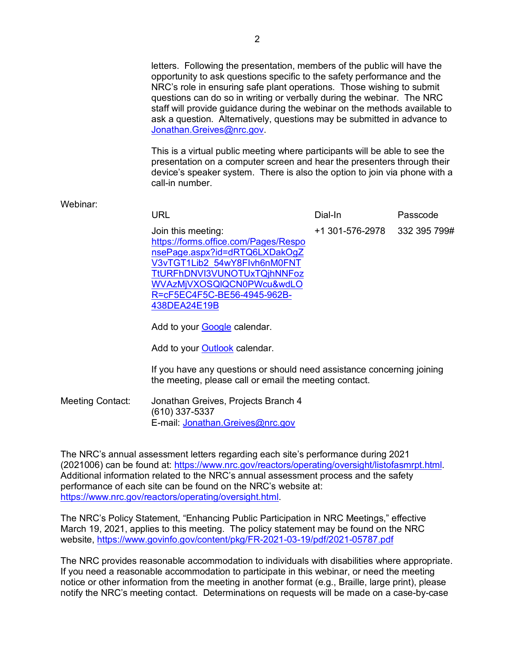letters. Following the presentation, members of the public will have the opportunity to ask questions specific to the safety performance and the NRC's role in ensuring safe plant operations. Those wishing to submit questions can do so in writing or verbally during the webinar. The NRC staff will provide guidance during the webinar on the methods available to ask a question. Alternatively, questions may be submitted in advance to [Jonathan.Greives@nrc.gov.](mailto:Jonathan.Greives@nrc.gov)

 This is a virtual public meeting where participants will be able to see the presentation on a computer screen and hear the presenters through their device's speaker system. There is also the option to join via phone with a call-in number.

## Webinar:

| URL                                                                                                                                                                                                                                    | Dial-In         | Passcode     |
|----------------------------------------------------------------------------------------------------------------------------------------------------------------------------------------------------------------------------------------|-----------------|--------------|
| Join this meeting:<br>https://forms.office.com/Pages/Respo<br>nsePage.aspx?id=dRTQ6LXDakOgZ<br>V3vTGT1Lib2 54wY8Flvh6nM0FNT<br>TtURFhDNVI3VUNOTUxTQjhNNFoz<br>WVAzMjVXOSQIQCN0PWcu&wdLO<br>R=cF5EC4F5C-BE56-4945-962B-<br>438DEA24E19B | +1 301-576-2978 | 332 395 799# |
|                                                                                                                                                                                                                                        |                 |              |

Add to your [Google](https://outlook.office.com/calendar/0/deeplink/compose?allday=false&body=Thanks%20for%20your%20interest%20in%20attending%20the%202021%20Virtual%20Annual%20Assessment%20Meeting.%20You%20can%20register%20for%20and%20access%20the%20meeting%20here%3A%0A%0Ahttps%3A%2F%2Fforms.office.com%2FPages%2FResponsePage.aspx%3Fid%3DdRTQ6LXDakOgZV3vTGT1Lib2_54wY8FIvh6nM0FNTTtURFhDNVI3VUNOTUxTQjhNNFozWVAzMjVXOSQlQCN0PWcu%26wdLOR%3DcF5EC4F5C-BE56-4945-962B-438DEA24E19B&enddt=2022-06-08T23%3A30%3A00%2B00%3A00&path=%2Fcalendar%2Faction%2Fcompose&rru=addevent&startdt=2022-06-08T21%3A30%3A00%2B00%3A00&subject=2021%20Virtual%20Annual%20Assessment%20Meeting-%20NRC%20Region%20I) calendar.

Add to your **Outlook** calendar.

 If you have any questions or should need assistance concerning joining the meeting, please call or email the meeting contact.

Meeting Contact: Jonathan Greives, Projects Branch 4 (610) 337-5337 E-mail: [Jonathan.Greives@nrc.gov](mailto:Jonathan.Greives@nrc.gov) 

The NRC's annual assessment letters regarding each site's performance during 2021 (2021006) can be found at: [https://www.nrc.gov/reactors/operating/oversight/listofasmrpt.html.](https://www.nrc.gov/reactors/operating/oversight/listofasmrpt.html) Additional information related to the NRC's annual assessment process and the safety performance of each site can be found on the NRC's website at: [https://www.nrc.gov/reactors/operating/oversight.html.](https://www.nrc.gov/reactors/operating/oversight.html)

The NRC's Policy Statement, "Enhancing Public Participation in NRC Meetings," effective March 19, 2021, applies to this meeting. The policy statement may be found on the NRC website,<https://www.govinfo.gov/content/pkg/FR-2021-03-19/pdf/2021-05787.pdf>

The NRC provides reasonable accommodation to individuals with disabilities where appropriate. If you need a reasonable accommodation to participate in this webinar, or need the meeting notice or other information from the meeting in another format (e.g., Braille, large print), please notify the NRC's meeting contact. Determinations on requests will be made on a case-by-case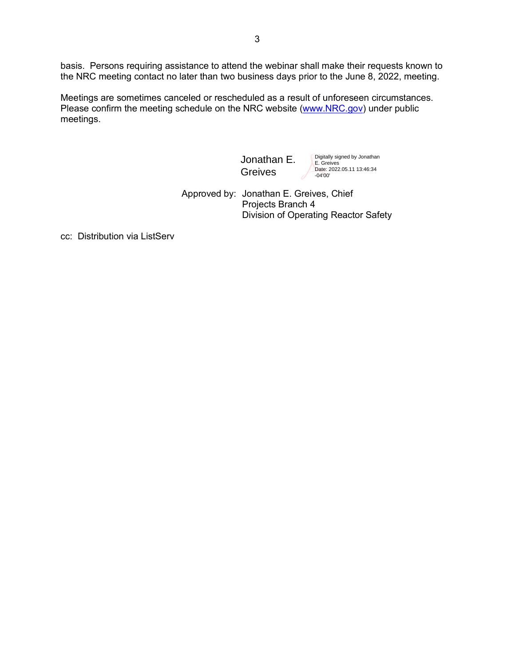basis. Persons requiring assistance to attend the webinar shall make their requests known to the NRC meeting contact no later than two business days prior to the June 8, 2022, meeting.

Meetings are sometimes canceled or rescheduled as a result of unforeseen circumstances. Please confirm the meeting schedule on the NRC website [\(www.NRC.gov\)](http://www.nrc.gov/) under public meetings.

> Jonathan E. Greives

Digitally signed by Jonathan E. Greives Date: 2022.05.11 13:46:34 -04'00'

 Approved by: Jonathan E. Greives, Chief Projects Branch 4 Division of Operating Reactor Safety

cc: Distribution via ListServ